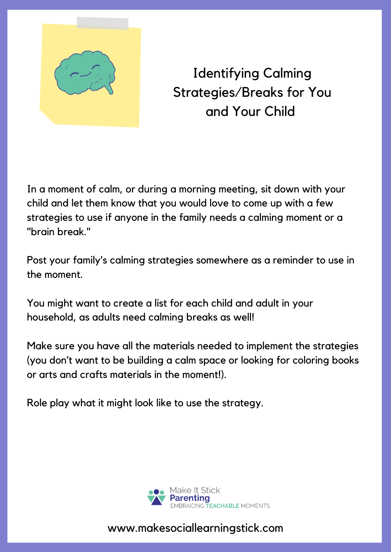

Identifying Calming Strategies/Breaks for You and Your Child

In a moment of calm, or during a morning meeting, sit down with your child and let them know that you would love to come up with a few strategies to use if anyone in the family needs a calming moment or a "brain break."

Post your family's calming strategies somewhere as a reminder to use in the moment.

You might want to create a list for each child and adult in your household, as adults need calming breaks as well!

Make sure you have all the materials needed to implement the strategies (you don't want to be building a calm space or looking for coloring books or arts and crafts materials in the moment!).

Role play what it might look like to use the strategy.



www.makesociallearningstick.com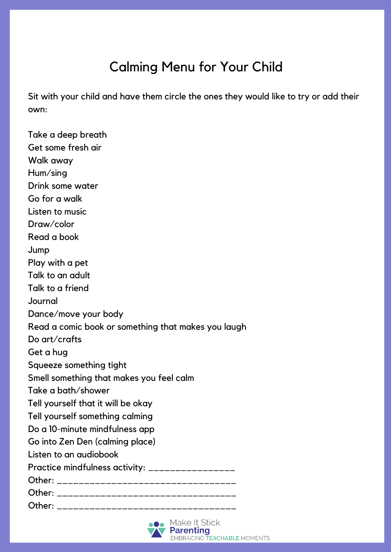## Calming Menu for Your Child

Sit with your child and have them circle the ones they would like to try or add their own:

Take a deep breath Get some fresh air Walk away Hum/sing Drink some water Go for a walk Listen to music Draw/color Read a book Jump Play with a pet Talk to an adult Talk to a friend **Journal** Dance/move your body Read a comic book or something that makes you laugh Do art/crafts Get a hug Squeeze something tight Smell something that makes you feel calm Take a bath/shower Tell yourself that it will be okay Tell yourself something calming Do a 10-minute mindfulness app Go into Zen Den (calming place) Listen to an audiobook Practice mindfulness activity: \_\_\_\_\_\_\_\_\_\_\_\_\_\_\_\_\_ Other: \_\_\_\_\_\_\_\_\_\_\_\_\_\_\_\_\_\_\_\_\_\_\_\_\_\_\_\_\_\_\_\_\_ Other: \_\_\_\_\_\_\_\_\_\_\_\_\_\_\_\_\_\_\_\_\_\_\_\_\_\_\_\_\_\_\_\_\_ Other:  $\Box$